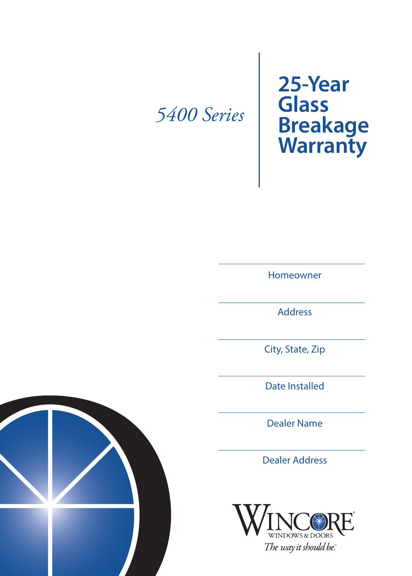## *5400 Series*

**25-Year Glass Breakage Warranty**

Homeowner

Address

City, State, Zip

Date Installed

Dealer Name

Dealer Address